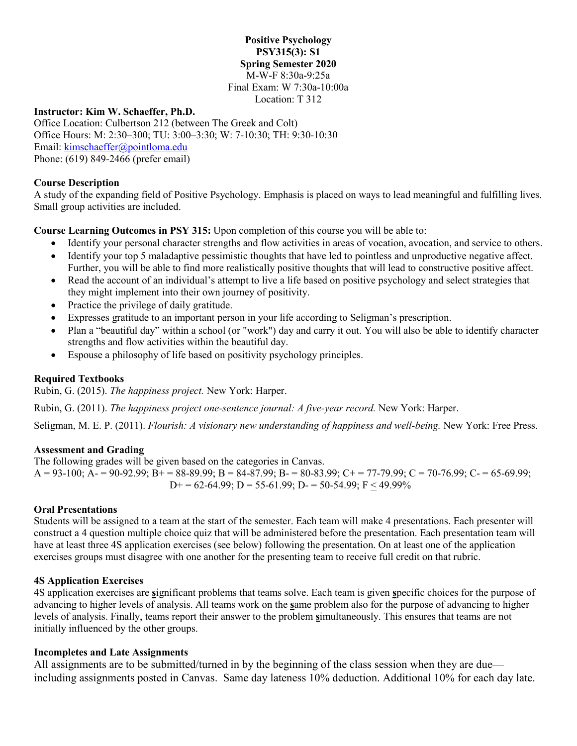#### **Positive Psychology PSY315(3): S1 Spring Semester 2020** M-W-F 8:30a-9:25a Final Exam: W 7:30a-10:00a Location: T 312

#### **Instructor: Kim W. Schaeffer, Ph.D.**

Office Location: Culbertson 212 (between The Greek and Colt) Office Hours: M: 2:30–300; TU: 3:00–3:30; W: 7-10:30; TH: 9:30-10:30 Email: [kimschaeffer@pointloma.edu](mailto:kimschaeffer@pointloma.edu) Phone: (619) 849-2466 (prefer email)

#### **Course Description**

A study of the expanding field of Positive Psychology. Emphasis is placed on ways to lead meaningful and fulfilling lives. Small group activities are included.

**Course Learning Outcomes in PSY 315:** Upon completion of this course you will be able to:

- Identify your personal character strengths and flow activities in areas of vocation, avocation, and service to others.
- Identify your top 5 maladaptive pessimistic thoughts that have led to pointless and unproductive negative affect. Further, you will be able to find more realistically positive thoughts that will lead to constructive positive affect.
- Read the account of an individual's attempt to live a life based on positive psychology and select strategies that they might implement into their own journey of positivity.
- Practice the privilege of daily gratitude.
- Expresses gratitude to an important person in your life according to Seligman's prescription.
- Plan a "beautiful day" within a school (or "work") day and carry it out. You will also be able to identify character strengths and flow activities within the beautiful day.
- Espouse a philosophy of life based on positivity psychology principles.

#### **Required Textbooks**

Rubin, G. (2015). *The happiness project.* New York: Harper.

Rubin, G. (2011). *The happiness project one-sentence journal: A five-year record.* New York: Harper.

Seligman, M. E. P. (2011). *Flourish: A visionary new understanding of happiness and well-being*. New York: Free Press.

#### **Assessment and Grading**

The following grades will be given based on the categories in Canvas.  $A = 93-100$ ;  $A = 90-92.99$ ;  $B = 88-89.99$ ;  $B = 84-87.99$ ;  $B = 80-83.99$ ;  $C = 77-79.99$ ;  $C = 70-76.99$ ;  $C = 65-69.99$ ;  $D+= 62-64.99$ ;  $D = 55-61.99$ ;  $D = 50-54.99$ ;  $F < 49.99\%$ 

#### **Oral Presentations**

Students will be assigned to a team at the start of the semester. Each team will make 4 presentations. Each presenter will construct a 4 question multiple choice quiz that will be administered before the presentation. Each presentation team will have at least three 4S application exercises (see below) following the presentation. On at least one of the application exercises groups must disagree with one another for the presenting team to receive full credit on that rubric.

#### **4S Application Exercises**

4S application exercises are **s**ignificant problems that teams solve. Each team is given **s**pecific choices for the purpose of advancing to higher levels of analysis. All teams work on the **s**ame problem also for the purpose of advancing to higher levels of analysis. Finally, teams report their answer to the problem **s**imultaneously. This ensures that teams are not initially influenced by the other groups.

#### **Incompletes and Late Assignments**

All assignments are to be submitted/turned in by the beginning of the class session when they are due including assignments posted in Canvas. Same day lateness 10% deduction. Additional 10% for each day late.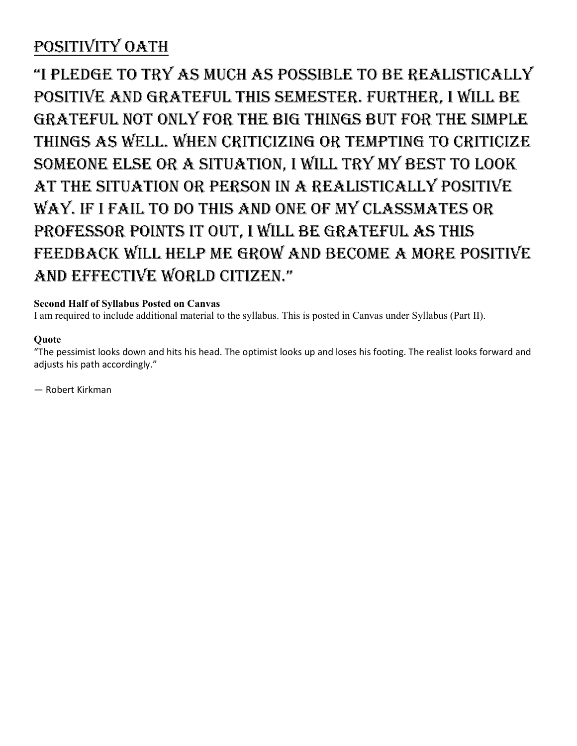## POSITIVITY OATH

"I pledge to try as much as possible to be realistically positive and grateful this semester. Further, I will be grateful not only for the big things but for the simple things as well. When criticizing or tempting to criticize someone else or a situation, I will try my best to look at the situation or person in a realistically positive way. If I fail to do this and one of my classmates or professor points it out, I will be grateful as this feedback will help me grow and become a more positive and effective world citizen."

### **Second Half of Syllabus Posted on Canvas**

I am required to include additional material to the syllabus. This is posted in Canvas under Syllabus (Part II).

#### **Quote**

"The pessimist looks down and hits his head. The optimist looks up and loses his footing. The realist looks forward and adjusts his path accordingly."

― Robert Kirkman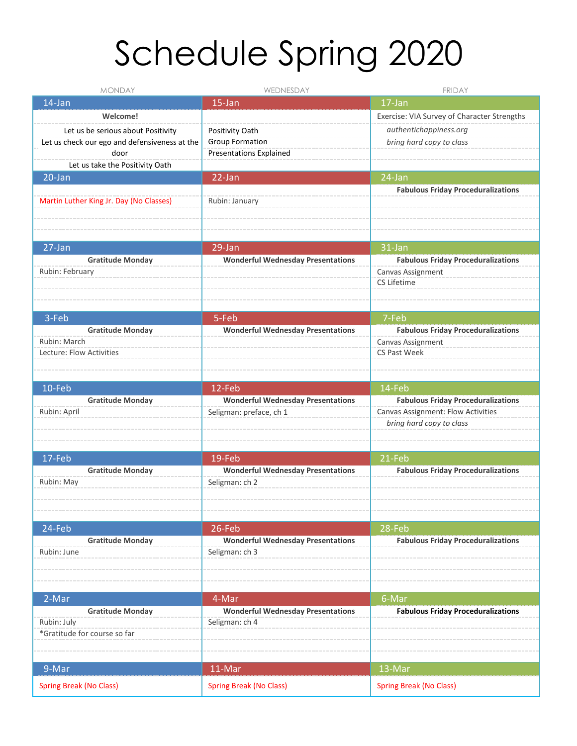# Schedule Spring 2020

| <b>MONDAY</b>                                 | WEDNESDAY                                | <b>FRIDAY</b>                               |
|-----------------------------------------------|------------------------------------------|---------------------------------------------|
| 14-Jan                                        | 15-Jan                                   | 17-Jan                                      |
| Welcome!                                      |                                          | Exercise: VIA Survey of Character Strengths |
| Let us be serious about Positivity            | Positivity Oath                          | authentichappiness.org                      |
| Let us check our ego and defensiveness at the | <b>Group Formation</b>                   | bring hard copy to class                    |
| door                                          | <b>Presentations Explained</b>           |                                             |
| Let us take the Positivity Oath               |                                          |                                             |
| 20-Jan                                        | 22-Jan                                   | 24-Jan                                      |
|                                               |                                          | <b>Fabulous Friday Proceduralizations</b>   |
| Martin Luther King Jr. Day (No Classes)       | Rubin: January                           |                                             |
|                                               |                                          |                                             |
|                                               |                                          |                                             |
| 27-Jan                                        | 29-Jan                                   | 31-Jan                                      |
| <b>Gratitude Monday</b>                       | <b>Wonderful Wednesday Presentations</b> | <b>Fabulous Friday Proceduralizations</b>   |
| Rubin: February                               |                                          | Canvas Assignment                           |
|                                               |                                          | CS Lifetime                                 |
|                                               |                                          |                                             |
|                                               |                                          |                                             |
| 3-Feb                                         | 5-Feb                                    | 7-Feb                                       |
| <b>Gratitude Monday</b>                       | <b>Wonderful Wednesday Presentations</b> | <b>Fabulous Friday Proceduralizations</b>   |
| Rubin: March                                  |                                          | Canvas Assignment                           |
| Lecture: Flow Activities                      |                                          | CS Past Week                                |
|                                               |                                          |                                             |
| $10$ -Feb                                     | 12-Feb                                   | 14-Feb                                      |
| <b>Gratitude Monday</b>                       | <b>Wonderful Wednesday Presentations</b> | <b>Fabulous Friday Proceduralizations</b>   |
| Rubin: April                                  | Seligman: preface, ch 1                  | Canvas Assignment: Flow Activities          |
|                                               |                                          | bring hard copy to class                    |
|                                               |                                          |                                             |
|                                               |                                          |                                             |
| 17-Feb                                        | $19$ -Feb                                | 21-Feb                                      |
| <b>Gratitude Monday</b>                       | <b>Wonderful Wednesday Presentations</b> | <b>Fabulous Friday Proceduralizations</b>   |
| Rubin: May                                    | Seligman: ch 2                           |                                             |
|                                               |                                          |                                             |
|                                               |                                          |                                             |
| 24-Feb                                        | 26-Feb                                   | 28-Feb                                      |
| <b>Gratitude Monday</b>                       | <b>Wonderful Wednesday Presentations</b> | <b>Fabulous Friday Proceduralizations</b>   |
| Rubin: June                                   | Seligman: ch 3                           |                                             |
|                                               |                                          |                                             |
|                                               |                                          |                                             |
|                                               |                                          |                                             |
| 2-Mar                                         | 4-Mar                                    | 6-Mar                                       |
| <b>Gratitude Monday</b>                       | <b>Wonderful Wednesday Presentations</b> | <b>Fabulous Friday Proceduralizations</b>   |
| Rubin: July                                   | Seligman: ch 4                           |                                             |
| *Gratitude for course so far                  |                                          |                                             |
|                                               |                                          |                                             |
| 9-Mar                                         | 11-Mar                                   | 13-Mar                                      |
|                                               |                                          |                                             |
| <b>Spring Break (No Class)</b>                | <b>Spring Break (No Class)</b>           | <b>Spring Break (No Class)</b>              |